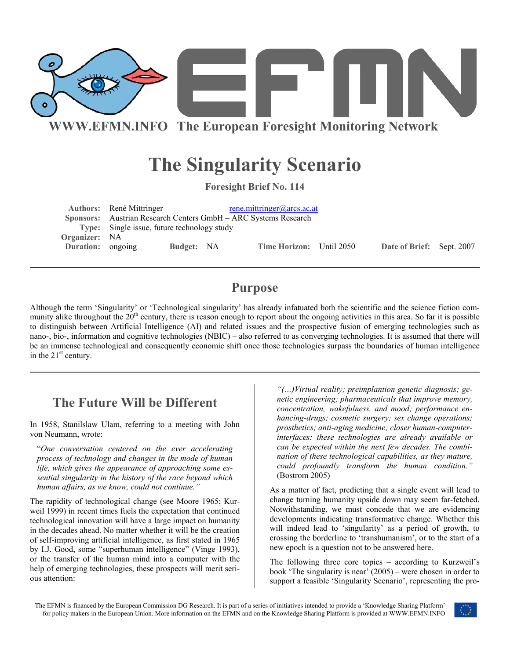

# **The Singularity Scenario**

**Foresight Brief No. 114** 

|                   | Authors: René Mittringer                    |            |  | rene.mittringer@arcs.ac.at<br>Sponsors: Austrian Research Centers GmbH – ARC Systems Research |  |                           |  |
|-------------------|---------------------------------------------|------------|--|-----------------------------------------------------------------------------------------------|--|---------------------------|--|
|                   | Type: Single issue, future technology study |            |  |                                                                                               |  |                           |  |
| Organizer: NA     |                                             |            |  |                                                                                               |  |                           |  |
| Duration: ongoing |                                             | Budget: NA |  | Time Horizon: Until 2050                                                                      |  | Date of Brief: Sept. 2007 |  |
|                   |                                             |            |  |                                                                                               |  |                           |  |

# **Purpose**

Although the term 'Singularity' or 'Technological singularity' has already infatuated both the scientific and the science fiction community alike throughout the  $20<sup>th</sup>$  century, there is reason enough to report about the ongoing activities in this area. So far it is possible to distinguish between Artificial Intelligence (AI) and related issues and the prospective fusion of emerging technologies such as nano-, bio-, information and cognitive technologies (NBIC) – also referred to as converging technologies. It is assumed that there will be an immense technological and consequently economic shift once those technologies surpass the boundaries of human intelligence in the  $21<sup>st</sup>$  century.

# **The Future Will be Different**

In 1958, Stanilslaw Ulam, referring to a meeting with John von Neumann, wrote:

"*One conversation centered on the ever accelerating process of technology and changes in the mode of human life, which gives the appearance of approaching some essential singularity in the history of the race beyond which human affairs, as we know, could not continue."* As a matter of fact, predicting that a single event will lead to

The rapidity of technological change (see Moore 1965; Kurweil 1999) in recent times fuels the expectation that continued technological innovation will have a large impact on humanity in the decades ahead. No matter whether it will be the creation of self-improving artificial intelligence, as first stated in 1965 by I.J. Good, some "superhuman intelligence" (Vinge 1993), or the transfer of the human mind into a computer with the help of emerging technologies, these prospects will merit serious attention:

*"(…)Virtual reality; preimplantion genetic diagnosis; genetic engineering; pharmaceuticals that improve memory, concentration, wakefulness, and mood; performance enhancing-drugs; cosmetic surgery; sex change operations; prosthetics; anti-aging medicine; closer human-computerinterfaces: these technologies are already available or can be expected within the next few decades. The combination of these technological capabilities, as they mature, could profoundly transform the human condition."* (Bostrom 2005)

change turning humanity upside down may seem far-fetched. Notwithstanding, we must concede that we are evidencing developments indicating transformative change. Whether this will indeed lead to 'singularity' as a period of growth, to crossing the borderline to 'transhumanism', or to the start of a new epoch is a question not to be answered here.

The following three core topics – according to Kurzweil's book 'The singularity is near' (2005) – were chosen in order to support a feasible 'Singularity Scenario', representing the pro-

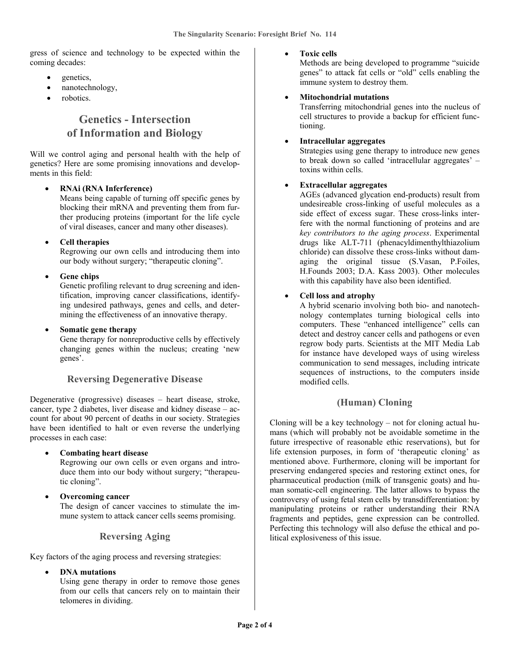gress of science and technology to be expected within the coming decades:

- genetics,
- nanotechnology,
- robotics.

# **Genetics - Intersection of Information and Biology**

Will we control aging and personal health with the help of genetics? Here are some promising innovations and developments in this field:

# • **RNAi (RNA Inferference)**

Means being capable of turning off specific genes by blocking their mRNA and preventing them from further producing proteins (important for the life cycle of viral diseases, cancer and many other diseases).

# • **Cell therapies**

Regrowing our own cells and introducing them into our body without surgery; "therapeutic cloning".

# • **Gene chips**

Genetic profiling relevant to drug screening and identification, improving cancer classifications, identifying undesired pathways, genes and cells, and determining the effectiveness of an innovative therapy.

• **Somatic gene therapy** 

Gene therapy for nonreproductive cells by effectively changing genes within the nucleus; creating 'new genes'.

# **Reversing Degenerative Disease**

Degenerative (progressive) diseases – heart disease, stroke, cancer, type 2 diabetes, liver disease and kidney disease – account for about 90 percent of deaths in our society. Strategies have been identified to halt or even reverse the underlying processes in each case:

### • **Combating heart disease**

Regrowing our own cells or even organs and introduce them into our body without surgery; "therapeutic cloning".

• **Overcoming cancer** 

The design of cancer vaccines to stimulate the immune system to attack cancer cells seems promising.

# **Reversing Aging**

Key factors of the aging process and reversing strategies:

• **DNA mutations** 

Using gene therapy in order to remove those genes from our cells that cancers rely on to maintain their telomeres in dividing.

### • **Toxic cells**

Methods are being developed to programme "suicide genes" to attack fat cells or "old" cells enabling the immune system to destroy them.

### • **Mitochondrial mutations**

Transferring mitochondrial genes into the nucleus of cell structures to provide a backup for efficient functioning.

# • **Intracellular aggregates**

Strategies using gene therapy to introduce new genes to break down so called 'intracellular aggregates' – toxins within cells.

# • **Extracellular aggregates**

AGEs (advanced glycation end-products) result from undesireable cross-linking of useful molecules as a side effect of excess sugar. These cross-links interfere with the normal functioning of proteins and are *key contributors to the aging process*. Experimental drugs like ALT-711 (phenacyldimenthylthiazolium chloride) can dissolve these cross-links without damaging the original tissue (S.Vasan, P.Foiles, H.Founds 2003; D.A. Kass 2003). Other molecules with this capability have also been identified.

# • **Cell loss and atrophy**

A hybrid scenario involving both bio- and nanotechnology contemplates turning biological cells into computers. These "enhanced intelligence" cells can detect and destroy cancer cells and pathogens or even regrow body parts. Scientists at the MIT Media Lab for instance have developed ways of using wireless communication to send messages, including intricate sequences of instructions, to the computers inside modified cells.

# **(Human) Cloning**

Cloning will be a key technology – not for cloning actual humans (which will probably not be avoidable sometime in the future irrespective of reasonable ethic reservations), but for life extension purposes, in form of 'therapeutic cloning' as mentioned above. Furthermore, cloning will be important for preserving endangered species and restoring extinct ones, for pharmaceutical production (milk of transgenic goats) and human somatic-cell engineering. The latter allows to bypass the controversy of using fetal stem cells by transdifferentiation: by manipulating proteins or rather understanding their RNA fragments and peptides, gene expression can be controlled. Perfecting this technology will also defuse the ethical and political explosiveness of this issue.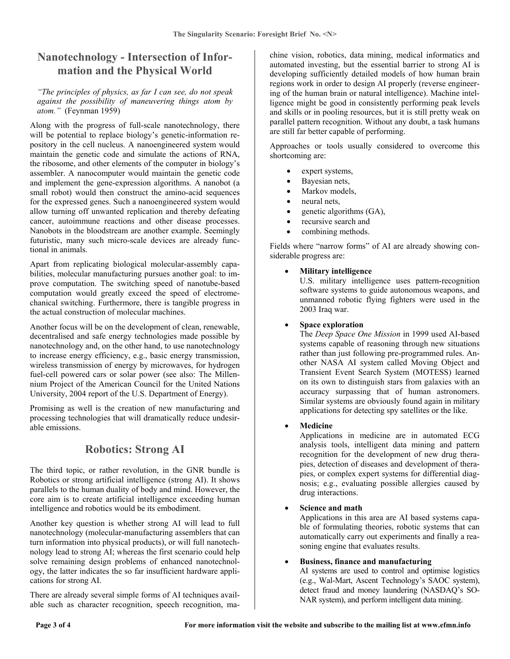# **Nanotechnology - Intersection of Information and the Physical World**

#### *"The principles of physics, as far I can see, do not speak against the possibility of maneuvering things atom by atom."* (Feynman 1959)

Along with the progress of full-scale nanotechnology, there will be potential to replace biology's genetic-information repository in the cell nucleus. A nanoengineered system would maintain the genetic code and simulate the actions of RNA, the ribosome, and other elements of the computer in biology's assembler. A nanocomputer would maintain the genetic code and implement the gene-expression algorithms. A nanobot (a small robot) would then construct the amino-acid sequences for the expressed genes. Such a nanoengineered system would allow turning off unwanted replication and thereby defeating cancer, autoimmune reactions and other disease processes. Nanobots in the bloodstream are another example. Seemingly futuristic, many such micro-scale devices are already functional in animals.

Apart from replicating biological molecular-assembly capabilities, molecular manufacturing pursues another goal: to improve computation. The switching speed of nanotube-based computation would greatly exceed the speed of electromechanical switching. Furthermore, there is tangible progress in the actual construction of molecular machines.

Another focus will be on the development of clean, renewable, decentralised and safe energy technologies made possible by nanotechnology and, on the other hand, to use nanotechnology to increase energy efficiency, e.g., basic energy transmission, wireless transmission of energy by microwaves, for hydrogen fuel-cell powered cars or solar power (see also: The Millennium Project of the American Council for the United Nations University, 2004 report of the U.S. Department of Energy).

Promising as well is the creation of new manufacturing and processing technologies that will dramatically reduce undesirable emissions.

# **Robotics: Strong AI**

The third topic, or rather revolution, in the GNR bundle is Robotics or strong artificial intelligence (strong AI). It shows parallels to the human duality of body and mind. However, the core aim is to create artificial intelligence exceeding human intelligence and robotics would be its embodiment.

Another key question is whether strong AI will lead to full nanotechnology (molecular-manufacturing assemblers that can turn information into physical products), or will full nanotechnology lead to strong AI; whereas the first scenario could help solve remaining design problems of enhanced nanotechnology, the latter indicates the so far insufficient hardware applications for strong AI.

There are already several simple forms of AI techniques available such as character recognition, speech recognition, ma-

chine vision, robotics, data mining, medical informatics and automated investing, but the essential barrier to strong AI is developing sufficiently detailed models of how human brain regions work in order to design AI properly (reverse engineering of the human brain or natural intelligence). Machine intelligence might be good in consistently performing peak levels and skills or in pooling resources, but it is still pretty weak on parallel pattern recognition. Without any doubt, a task humans are still far better capable of performing.

Approaches or tools usually considered to overcome this shortcoming are:

- expert systems,
- Bayesian nets,
- Markov models,
- neural nets,
- genetic algorithms (GA),
- recursive search and
- combining methods.

Fields where "narrow forms" of AI are already showing considerable progress are:

### • **Military intelligence**

U.S. military intelligence uses pattern-recognition software systems to guide autonomous weapons, and unmanned robotic flying fighters were used in the 2003 Iraq war.

### • **Space exploration**

The *Deep Space One Mission* in 1999 used AI-based systems capable of reasoning through new situations rather than just following pre-programmed rules. Another NASA AI system called Moving Object and Transient Event Search System (MOTESS) learned on its own to distinguish stars from galaxies with an accuracy surpassing that of human astronomers. Similar systems are obviously found again in military applications for detecting spy satellites or the like.

# • **Medicine**

Applications in medicine are in automated ECG analysis tools, intelligent data mining and pattern recognition for the development of new drug therapies, detection of diseases and development of therapies, or complex expert systems for differential diagnosis; e.g., evaluating possible allergies caused by drug interactions.

# • **Science and math**

Applications in this area are AI based systems capable of formulating theories, robotic systems that can automatically carry out experiments and finally a reasoning engine that evaluates results.

### • **Business, finance and manufacturing**

AI systems are used to control and optimise logistics (e.g., Wal-Mart, Ascent Technology's SAOC system), detect fraud and money laundering (NASDAQ's SO-NAR system), and perform intelligent data mining.